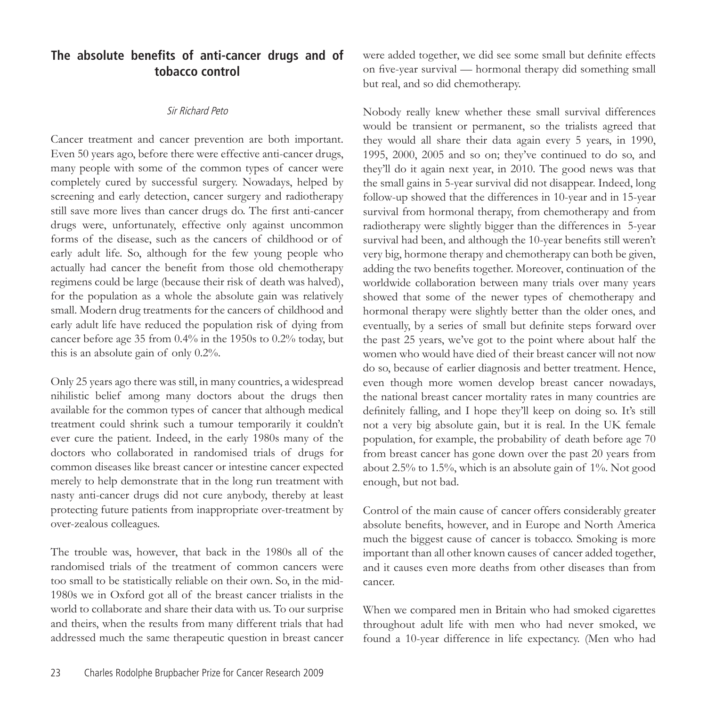## **The absolute benefits of anti-cancer drugs and of tobacco control**

## Sir Richard Peto

Cancer treatment and cancer prevention are both important. Even 50 years ago, before there were effective anti-cancer drugs, many people with some of the common types of cancer were completely cured by successful surgery. Nowadays, helped by screening and early detection, cancer surgery and radiotherapy still save more lives than cancer drugs do. The first anti-cancer drugs were, unfortunately, effective only against uncommon forms of the disease, such as the cancers of childhood or of early adult life. So, although for the few young people who actually had cancer the benefit from those old chemotherapy regimens could be large (because their risk of death was halved), for the population as a whole the absolute gain was relatively small. Modern drug treatments for the cancers of childhood and early adult life have reduced the population risk of dying from cancer before age 35 from 0.4% in the 1950s to 0.2% today, but this is an absolute gain of only 0.2%.

Only 25 years ago there was still, in many countries, a widespread nihilistic belief among many doctors about the drugs then available for the common types of cancer that although medical treatment could shrink such a tumour temporarily it couldn't ever cure the patient. Indeed, in the early 1980s many of the doctors who collaborated in randomised trials of drugs for common diseases like breast cancer or intestine cancer expected merely to help demonstrate that in the long run treatment with nasty anti-cancer drugs did not cure anybody, thereby at least protecting future patients from inappropriate over-treatment by over-zealous colleagues.

The trouble was, however, that back in the 1980s all of the randomised trials of the treatment of common cancers were too small to be statistically reliable on their own. So, in the mid-1980s we in Oxford got all of the breast cancer trialists in the world to collaborate and share their data with us. To our surprise and theirs, when the results from many different trials that had addressed much the same therapeutic question in breast cancer were added together, we did see some small but definite effects on five-year survival — hormonal therapy did something small but real, and so did chemotherapy.

Nobody really knew whether these small survival differences would be transient or permanent, so the trialists agreed that they would all share their data again every 5 years, in 1990, 1995, 2000, 2005 and so on; they've continued to do so, and they'll do it again next year, in 2010. The good news was that the small gains in 5-year survival did not disappear. Indeed, long follow-up showed that the differences in 10-year and in 15-year survival from hormonal therapy, from chemotherapy and from radiotherapy were slightly bigger than the differences in 5-year survival had been, and although the 10-year benefits still weren't very big, hormone therapy and chemotherapy can both be given, adding the two benefits together. Moreover, continuation of the worldwide collaboration between many trials over many years showed that some of the newer types of chemotherapy and hormonal therapy were slightly better than the older ones, and eventually, by a series of small but definite steps forward over the past 25 years, we've got to the point where about half the women who would have died of their breast cancer will not now do so, because of earlier diagnosis and better treatment. Hence, even though more women develop breast cancer nowadays, the national breast cancer mortality rates in many countries are definitely falling, and I hope they'll keep on doing so. It's still not a very big absolute gain, but it is real. In the UK female population, for example, the probability of death before age 70 from breast cancer has gone down over the past 20 years from about 2.5% to 1.5%, which is an absolute gain of 1%. Not good enough, but not bad.

Control of the main cause of cancer offers considerably greater absolute benefits, however, and in Europe and North America much the biggest cause of cancer is tobacco. Smoking is more important than all other known causes of cancer added together, and it causes even more deaths from other diseases than from cancer.

When we compared men in Britain who had smoked cigarettes throughout adult life with men who had never smoked, we found a 10-year difference in life expectancy. (Men who had